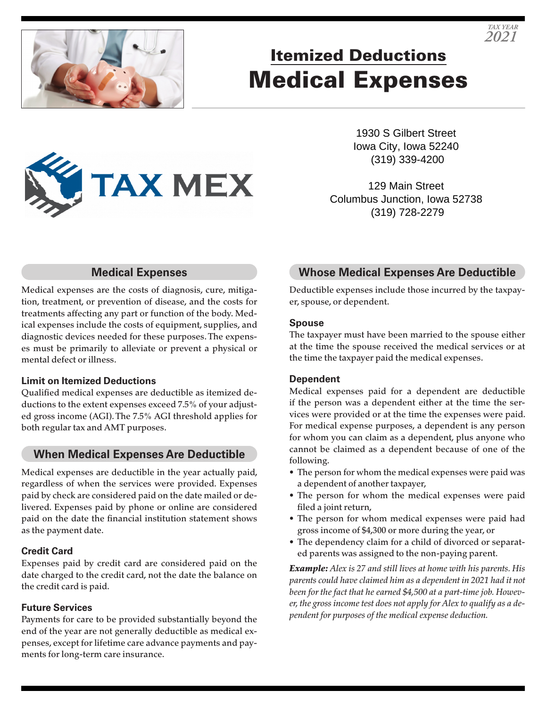

# Itemized Deductions Medical Expenses

1930 S Gilbert Street Iowa City, Iowa 52240 (319) 339-4200

129 Main Street Columbus Junction, Iowa 52738 (319) 728-2279

### **Medical Expenses**

**TAX MEX** 

Medical expenses are the costs of diagnosis, cure, mitigation, treatment, or prevention of disease, and the costs for treatments affecting any part or function of the body. Medical expenses include the costs of equipment, supplies, and diagnostic devices needed for these purposes. The expenses must be primarily to alleviate or prevent a physical or mental defect or illness.

### **Limit on Itemized Deductions**

Qualified medical expenses are deductible as itemized deductions to the extent expenses exceed 7.5% of your adjusted gross income (AGI). The 7.5% AGI threshold applies for both regular tax and AMT purposes.

### **When Medical Expenses Are Deductible**

Medical expenses are deductible in the year actually paid, regardless of when the services were provided. Expenses paid by check are considered paid on the date mailed or delivered. Expenses paid by phone or online are considered paid on the date the financial institution statement shows as the payment date.

### **Credit Card**

Expenses paid by credit card are considered paid on the date charged to the credit card, not the date the balance on the credit card is paid.

### **Future Services**

Payments for care to be provided substantially beyond the end of the year are not generally deductible as medical expenses, except for lifetime care advance payments and payments for long-term care insurance.

# **Whose Medical Expenses Are Deductible**

Deductible expenses include those incurred by the taxpayer, spouse, or dependent.

#### **Spouse**

The taxpayer must have been married to the spouse either at the time the spouse received the medical services or at the time the taxpayer paid the medical expenses.

### **Dependent**

Medical expenses paid for a dependent are deductible if the person was a dependent either at the time the services were provided or at the time the expenses were paid. For medical expense purposes, a dependent is any person for whom you can claim as a dependent, plus anyone who cannot be claimed as a dependent because of one of the following.

- The person for whom the medical expenses were paid was a dependent of another taxpayer,
- The person for whom the medical expenses were paid filed a joint return,
- The person for whom medical expenses were paid had gross income of \$4,300 or more during the year, or
- The dependency claim for a child of divorced or separated parents was assigned to the non-paying parent.

*Example: Alex is 27 and still lives at home with his parents. His parents could have claimed him as a dependent in 2021 had it not been for the fact that he earned \$4,500 at a part-time job. However, the gross income test does not apply for Alex to qualify as a dependent for purposes of the medical expense deduction.*